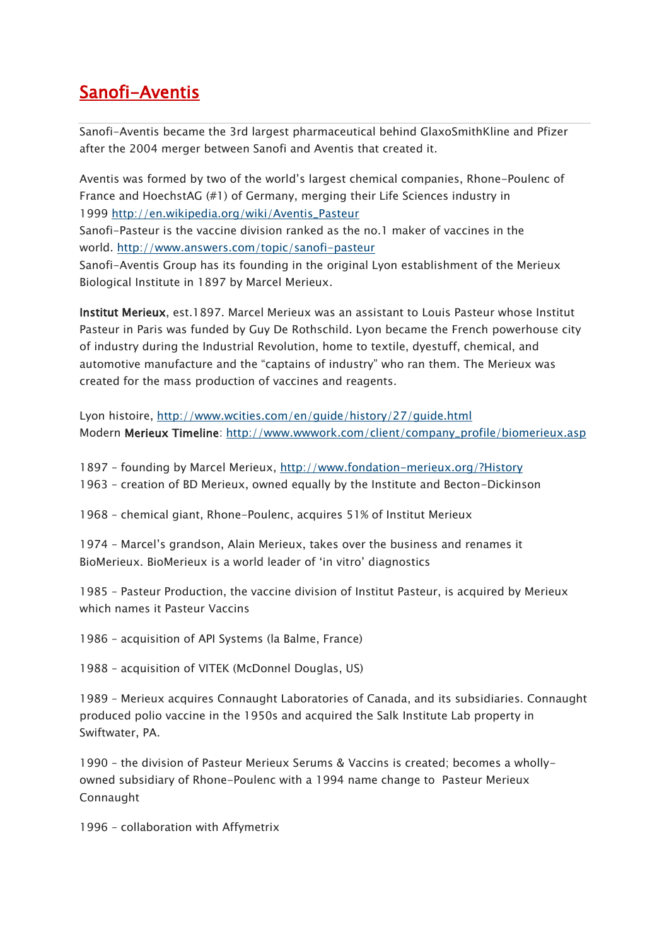## [Sanofi-Aventis](https://citizen2009.wordpress.com/sanofi-aventis/)

Sanofi-Aventis became the 3rd largest pharmaceutical behind GlaxoSmithKline and Pfizer after the 2004 merger between Sanofi and Aventis that created it.

Aventis was formed by two of the world's largest chemical companies, Rhone-Poulenc of France and HoechstAG (#1) of Germany, merging their Life Sciences industry in 1999 [http://en.wikipedia.org/wiki/Aventis\\_Pasteur](http://en.wikipedia.org/wiki/Aventis_Pasteur)

Sanofi-Pasteur is the vaccine division ranked as the no.1 maker of vaccines in the world. <http://www.answers.com/topic/sanofi-pasteur>

Sanofi-Aventis Group has its founding in the original Lyon establishment of the Merieux Biological Institute in 1897 by Marcel Merieux.

Institut Merieux, est.1897. Marcel Merieux was an assistant to Louis Pasteur whose Institut Pasteur in Paris was funded by Guy De Rothschild. Lyon became the French powerhouse city of industry during the Industrial Revolution, home to textile, dyestuff, chemical, and automotive manufacture and the "captains of industry" who ran them. The Merieux was created for the mass production of vaccines and reagents.

Lyon histoire, <http://www.wcities.com/en/guide/history/27/guide.html> Modern Merieux Timeline: [http://www.wwwork.com/client/company\\_profile/biomerieux.asp](http://www.wwwork.com/client/company_profile/biomerieux.asp)

1897 – founding by Marcel Merieux, <http://www.fondation-merieux.org/?History> 1963 – creation of BD Merieux, owned equally by the Institute and Becton-Dickinson

1968 – chemical giant, Rhone-Poulenc, acquires 51% of Institut Merieux

1974 – Marcel's grandson, Alain Merieux, takes over the business and renames it BioMerieux. BioMerieux is a world leader of 'in vitro' diagnostics

1985 – Pasteur Production, the vaccine division of Institut Pasteur, is acquired by Merieux which names it Pasteur Vaccins

1986 – acquisition of API Systems (la Balme, France)

1988 – acquisition of VITEK (McDonnel Douglas, US)

1989 – Merieux acquires Connaught Laboratories of Canada, and its subsidiaries. Connaught produced polio vaccine in the 1950s and acquired the Salk Institute Lab property in Swiftwater, PA.

1990 – the division of Pasteur Merieux Serums & Vaccins is created; becomes a whollyowned subsidiary of Rhone-Poulenc with a 1994 name change to Pasteur Merieux Connaught

1996 – collaboration with Affymetrix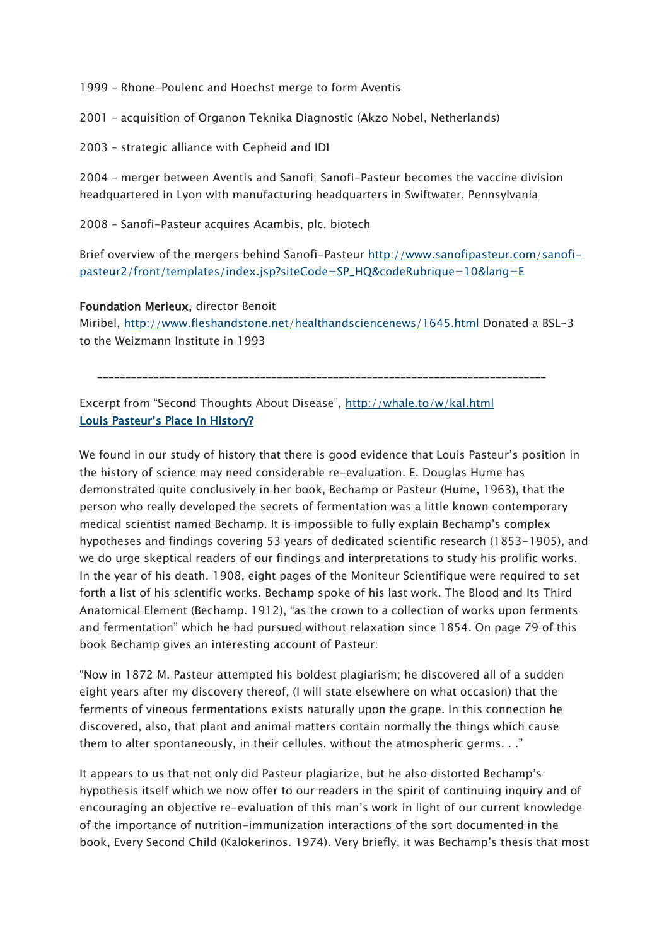1999 – Rhone-Poulenc and Hoechst merge to form Aventis

2001 – acquisition of Organon Teknika Diagnostic (Akzo Nobel, Netherlands)

2003 – strategic alliance with Cepheid and IDI

2004 – merger between Aventis and Sanofi; Sanofi-Pasteur becomes the vaccine division headquartered in Lyon with manufacturing headquarters in Swiftwater, Pennsylvania

2008 – Sanofi-Pasteur acquires Acambis, plc. biotech

Brief overview of the mergers behind Sanofi-Pasteur [http://www.sanofipasteur.com/sanofi](http://www.sanofipasteur.com/sanofi-pasteur2/front/templates/index.jsp?siteCode=SP_HQ&codeRubrique=10&lang=E)[pasteur2/front/templates/index.jsp?siteCode=SP\\_HQ&codeRubrique=10&lang=E](http://www.sanofipasteur.com/sanofi-pasteur2/front/templates/index.jsp?siteCode=SP_HQ&codeRubrique=10&lang=E)

## Foundation Merieux, director Benoit

Miribel, <http://www.fleshandstone.net/healthandsciencenews/1645.html> Donated a BSL-3 to the Weizmann Institute in 1993

\_\_\_\_\_\_\_\_\_\_\_\_\_\_\_\_\_\_\_\_\_\_\_\_\_\_\_\_\_\_\_\_\_\_\_\_\_\_\_\_\_\_\_\_\_\_\_\_\_\_\_\_\_\_\_\_\_\_\_\_\_\_\_\_\_\_\_\_\_\_\_\_\_\_\_\_\_\_\_\_

Excerpt from "Second Thoughts About Disease", <http://whale.to/w/kal.html> Louis Pasteur's Place in History?

We found in our study of history that there is good evidence that Louis Pasteur's position in the history of science may need considerable re-evaluation. E. Douglas Hume has demonstrated quite conclusively in her book, Bechamp or Pasteur (Hume, 1963), that the person who really developed the secrets of fermentation was a little known contemporary medical scientist named Bechamp. It is impossible to fully explain Bechamp's complex hypotheses and findings covering 53 years of dedicated scientific research (1853-1905), and we do urge skeptical readers of our findings and interpretations to study his prolific works. In the year of his death. 1908, eight pages of the Moniteur Scientifique were required to set forth a list of his scientific works. Bechamp spoke of his last work. The Blood and Its Third Anatomical Element (Bechamp. 1912), "as the crown to a collection of works upon ferments and fermentation" which he had pursued without relaxation since 1854. On page 79 of this book Bechamp gives an interesting account of Pasteur:

"Now in 1872 M. Pasteur attempted his boldest plagiarism; he discovered all of a sudden eight years after my discovery thereof, (I will state elsewhere on what occasion) that the ferments of vineous fermentations exists naturally upon the grape. In this connection he discovered, also, that plant and animal matters contain normally the things which cause them to alter spontaneously, in their cellules. without the atmospheric germs. . ."

It appears to us that not only did Pasteur plagiarize, but he also distorted Bechamp's hypothesis itself which we now offer to our readers in the spirit of continuing inquiry and of encouraging an objective re-evaluation of this man's work in light of our current knowledge of the importance of nutrition-immunization interactions of the sort documented in the book, Every Second Child (Kalokerinos. 1974). Very briefly, it was Bechamp's thesis that most